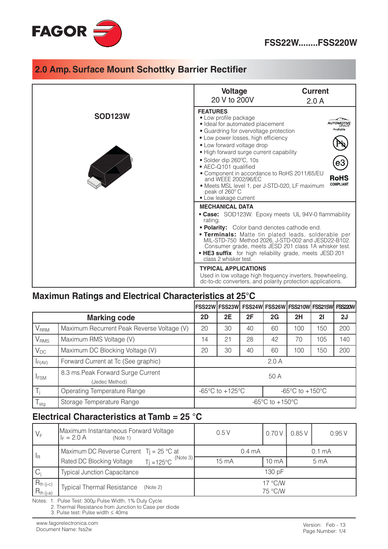

|                | <b>Voltage</b><br>20 V to 200V                                                                                                                                                                                                                                                                                                                                                                                                                                                                        | <b>Current</b><br>2.0A                                                                                                                                                                                                                                                                                                                            |  |  |  |  |
|----------------|-------------------------------------------------------------------------------------------------------------------------------------------------------------------------------------------------------------------------------------------------------------------------------------------------------------------------------------------------------------------------------------------------------------------------------------------------------------------------------------------------------|---------------------------------------------------------------------------------------------------------------------------------------------------------------------------------------------------------------------------------------------------------------------------------------------------------------------------------------------------|--|--|--|--|
| <b>SOD123W</b> | <b>FEATURES</b><br>• Low profile package<br>• Ideal for automated placement<br>Available<br>• Guardring for overvoltage protection<br>• Low power losses, high efficiency<br>• Low forward voltage drop<br>• High forward surge current capability<br>• Solder dip 260°C, 10s<br>• AEC-Q101 qualified<br>• Component in accordance to RoHS 2011/65/EU<br>RoHS<br>and WEEE 2002/96/EC<br><b>COMPLIANT</b><br>· Meets MSL level 1, per J-STD-020, LF maximum<br>peak of 260° C<br>• Low leakage current |                                                                                                                                                                                                                                                                                                                                                   |  |  |  |  |
|                | <b>MECHANICAL DATA</b><br>rating.<br>class 2 whisker test.                                                                                                                                                                                                                                                                                                                                                                                                                                            | • Case: SOD123W. Epoxy meets UL 94V-0 flammability<br>• Polarity: Color band denotes cathode end.<br><b>• Terminals:</b> Matte tin plated leads, solderable per<br>MIL-STD-750 Method 2026, J-STD-002 and JESD22-B102.<br>Consumer grade, meets JESD 201 class 1A whisker test.<br>• <b>HE3 suffix</b> for high reliability grade, meets JESD 201 |  |  |  |  |
|                | <b>TYPICAL APPLICATIONS</b><br>Used in low voltage high frequency inverters, freewheeling,<br>dc-to-dc converters, and polarity protection applications.                                                                                                                                                                                                                                                                                                                                              |                                                                                                                                                                                                                                                                                                                                                   |  |  |  |  |

#### Maximun Ratings and Electrical Characteristics at 25°C

|                  |                                                      |                                                                                                                |    |    |    | FSS22W   FSS23W   FSS24W   FSS26W   FSS210W   FSS215W   FSS220W |     |     |
|------------------|------------------------------------------------------|----------------------------------------------------------------------------------------------------------------|----|----|----|-----------------------------------------------------------------|-----|-----|
|                  | <b>Marking code</b>                                  | 2D                                                                                                             | 2E | 2F | 2G | 2H                                                              | 21  | 2J  |
| <b>V</b> RRM     | Maximum Recurrent Peak Reverse Voltage (V)           | 20                                                                                                             | 30 | 40 | 60 | 100                                                             | 150 | 200 |
| V <sub>RMS</sub> | Maximum RMS Voltage (V)                              | 14                                                                                                             | 21 | 28 | 42 | 70                                                              | 105 | 140 |
| $V_{DC}$         | Maximum DC Blocking Voltage (V)                      | 20                                                                                                             | 30 | 40 | 60 | 100                                                             | 150 | 200 |
| $I_{F(AV)}$      | Forward Current at Tc (See graphic)                  | 2.0A                                                                                                           |    |    |    |                                                                 |     |     |
| <b>I</b> FSM     | 8.3 ms. Peak Forward Surge Current<br>(Jedec Method) | 50 A                                                                                                           |    |    |    |                                                                 |     |     |
| $T_i$            | Operating Temperature Range                          | -65 $\mathrm{^{\circ}C}$ to +125 $\mathrm{^{\circ}C}$<br>-65 $\mathrm{^{\circ}C}$ to +150 $\mathrm{^{\circ}C}$ |    |    |    |                                                                 |     |     |
| $T_{\text{stg}}$ | Storage Temperature Range                            | -65 $\mathrm{^{\circ}C}$ to +150 $\mathrm{^{\circ}C}$                                                          |    |    |    |                                                                 |     |     |

### Electrical Characteristics at Tamb = 25 °C

| $V_F$                                                                 | Maximum Instantaneous Forward Voltage<br>$ I_F = 2.0 A$<br>(Note 1) | 0.5V               | 0.70 V          | 0.85V | 0.95V           |  |
|-----------------------------------------------------------------------|---------------------------------------------------------------------|--------------------|-----------------|-------|-----------------|--|
| Maximum DC Reverse Current $Ti = 25 °C$ at<br>$\mathsf{I}_\mathsf{R}$ |                                                                     | 0.4 <sub>mA</sub>  | 0.1 mA          |       |                 |  |
|                                                                       | (Note 3)<br>$Ti = 125^{\circ}C$<br>Rated DC Blocking Voltage        | 15 mA              | $10 \text{ mA}$ |       | 5 <sub>mA</sub> |  |
| $C_i$                                                                 | <b>Typical Junction Capacitance</b>                                 | 130 pF             |                 |       |                 |  |
| $R_{th (j-c)}$<br>$R_{th (j-a)}$                                      | <b>Typical Thermal Resistance</b><br>(Note 2)                       | 17 °C/W<br>75 °C/W |                 |       |                 |  |

Notes: 1. Pulse Test: 300µ Pulse Width, 1% Duty Cycle

2. Thermal Resistance from Junction to Case per diode

3. Pulse test: Pulse width  $\leq$  40ms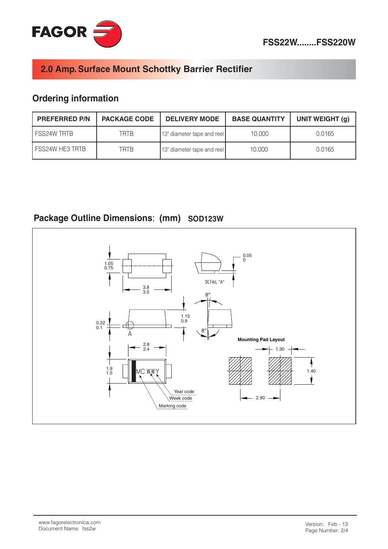

# **Ordering information**

| <b>PREFERRED P/N</b>   | <b>PACKAGE CODE</b> | <b>DELIVERY MODE</b>       | <b>BASE QUANTITY</b> | UNIT WEIGHT (g) |
|------------------------|---------------------|----------------------------|----------------------|-----------------|
| I FSS24W TRTB          | TRTR                | 13" diameter tape and reel | 10,000               | 0.0165          |
| <b>FSS24W HE3 TRTB</b> | TRTR                | 13" diameter tape and reel | 10.000               | 0.0165          |

## Package Outline Dimensions: (mm) SOD123W

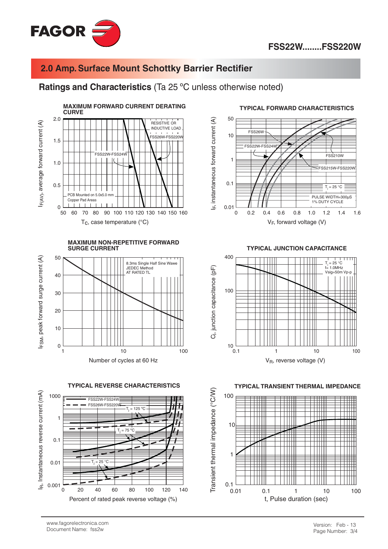

#### Ratings and Characteristics (Ta 25 °C unless otherwise noted)



**MAXIMUM NON-REPETITIVE FORWARD SURGE CURRENT** 



**TYPICAL REVERSE CHARACTERISTICS** 





#### **TYPICAL FORWARD CHARACTERISTICS**



 $V_F$ , forward voltage (V)



**TYPICAL TRANSIENT THERMAL IMPEDANCE**